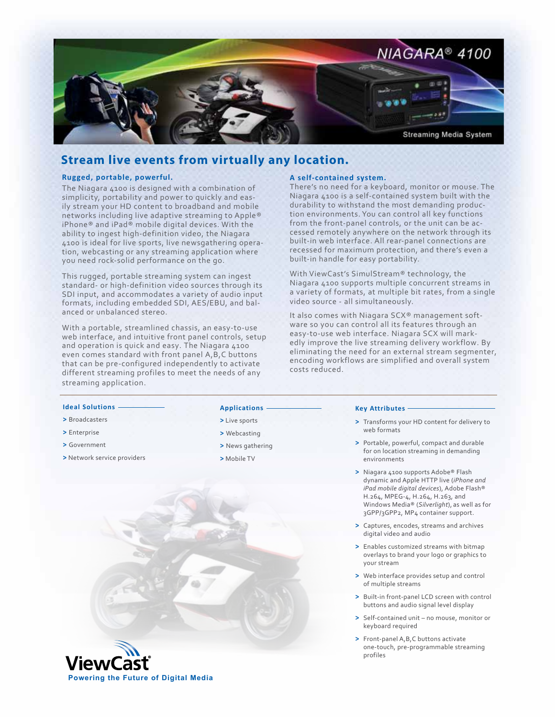

## **Stream live events from virtually any location.**

#### **Rugged, portable, powerful.**

The Niagara 4100 is designed with a combination of simplicity, portability and power to quickly and easily stream your HD content to broadband and mobile networks including live adaptive streaming to Apple® iPhone® and iPad® mobile digital devices. With the ability to ingest high-definition video, the Niagara 4100 is ideal for live sports, live newsgathering operation, webcasting or any streaming application where you need rock-solid performance on the go.

This rugged, portable streaming system can ingest standard- or high-definition video sources through its SDI input, and accommodates a variety of audio input formats, including embedded SDI, AES/EBU, and balanced or unbalanced stereo.

With a portable, streamlined chassis, an easy-to-use web interface, and intuitive front panel controls, setup and operation is quick and easy. The Niagara 4100 even comes standard with front panel A,B,C buttons that can be pre-configured independently to activate different streaming profiles to meet the needs of any streaming application.

#### **A self-contained system.**

There's no need for a keyboard, monitor or mouse. The Niagara 4100 is a self-contained system built with the durability to withstand the most demanding production environments. You can control all key functions from the front-panel controls, or the unit can be accessed remotely anywhere on the network through its built-in web interface. All rear-panel connections are recessed for maximum protection, and there's even a built-in handle for easy portability.

With ViewCast's SimulStream® technology, the Niagara 4100 supports multiple concurrent streams in a variety of formats, at multiple bit rates, from a single video source - all simultaneously.

It also comes with Niagara SCX® management software so you can control all its features through an easy-to-use web interface. Niagara SCX will markedly improve the live streaming delivery workflow. By eliminating the need for an external stream segmenter, encoding workflows are simplified and overall system costs reduced.

#### **Ideal Solutions**

- **>** Broadcasters
- **>** Enterprise
- **>** Government
- **>** Network service providers

#### **Applications**

- **>** Live sports
- **>** Webcasting
- **>** News gathering
- **>** Mobile TV

#### **Key Attributes**

- **>** Transforms your HD content for delivery to web formats
- **>** Portable, powerful, compact and durable for on location streaming in demanding environments
- **>** Niagara 4100 supports Adobe® Flash dynamic and Apple HTTP live (*iPhone and iPad mobile digital devices*), Adobe Flash® H.264, MPEG-4, H.264, H.263, and Windows Media® (*Silverlight*), as well as for 3GPP/3GPP2, MP4 container support.
- **>** Captures, encodes, streams and archives digital video and audio
- **>** Enables customized streams with bitmap overlays to brand your logo or graphics to your stream
- **>** Web interface provides setup and control of multiple streams
- **>** Built-in front-panel LCD screen with control buttons and audio signal level display
- **>** Self-contained unit no mouse, monitor or keyboard required
- **>** Front-panel A,B,C buttons activate one-touch, pre-programmable streaming profiles

**Powering the Future of Digital Media**